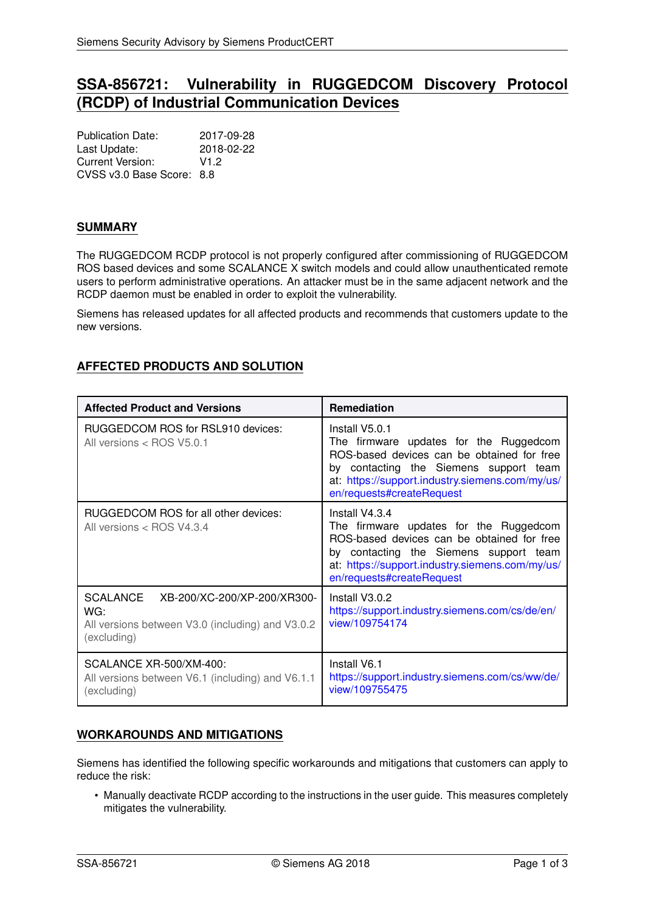# **SSA-856721: Vulnerability in RUGGEDCOM Discovery Protocol (RCDP) of Industrial Communication Devices**

Publication Date: 2017-09-28 Last Update: 2018-02-22 Current Version: V1.2 CVSS v3.0 Base Score: 8.8

### **SUMMARY**

The RUGGEDCOM RCDP protocol is not properly configured after commissioning of RUGGEDCOM ROS based devices and some SCALANCE X switch models and could allow unauthenticated remote users to perform administrative operations. An attacker must be in the same adjacent network and the RCDP daemon must be enabled in order to exploit the vulnerability.

Siemens has released updates for all affected products and recommends that customers update to the new versions.

# **AFFECTED PRODUCTS AND SOLUTION**

| <b>Affected Product and Versions</b>                                                                              | Remediation                                                                                                                                                                                                                      |
|-------------------------------------------------------------------------------------------------------------------|----------------------------------------------------------------------------------------------------------------------------------------------------------------------------------------------------------------------------------|
| RUGGEDCOM ROS for RSL910 devices:<br>All versions < ROS V5.0.1                                                    | Install V5.0.1<br>The firmware updates for the Ruggedcom<br>ROS-based devices can be obtained for free<br>by contacting the Siemens support team<br>at: https://support.industry.siemens.com/my/us/<br>en/requests#createRequest |
| RUGGEDCOM ROS for all other devices:<br>All versions < ROS V4.3.4                                                 | Install V4.3.4<br>The firmware updates for the Ruggedcom<br>ROS-based devices can be obtained for free<br>by contacting the Siemens support team<br>at: https://support.industry.siemens.com/my/us/<br>en/requests#createRequest |
| SCALANCE<br>XB-200/XC-200/XP-200/XR300-<br>WG:<br>All versions between V3.0 (including) and V3.0.2<br>(excluding) | Install V3.0.2<br>https://support.industry.siemens.com/cs/de/en/<br>view/109754174                                                                                                                                               |
| SCALANCE XR-500/XM-400:<br>All versions between V6.1 (including) and V6.1.1<br>(excluding)                        | Install V6.1<br>https://support.industry.siemens.com/cs/ww/de/<br>view/109755475                                                                                                                                                 |

## **WORKAROUNDS AND MITIGATIONS**

Siemens has identified the following specific workarounds and mitigations that customers can apply to reduce the risk:

• Manually deactivate RCDP according to the instructions in the user guide. This measures completely mitigates the vulnerability.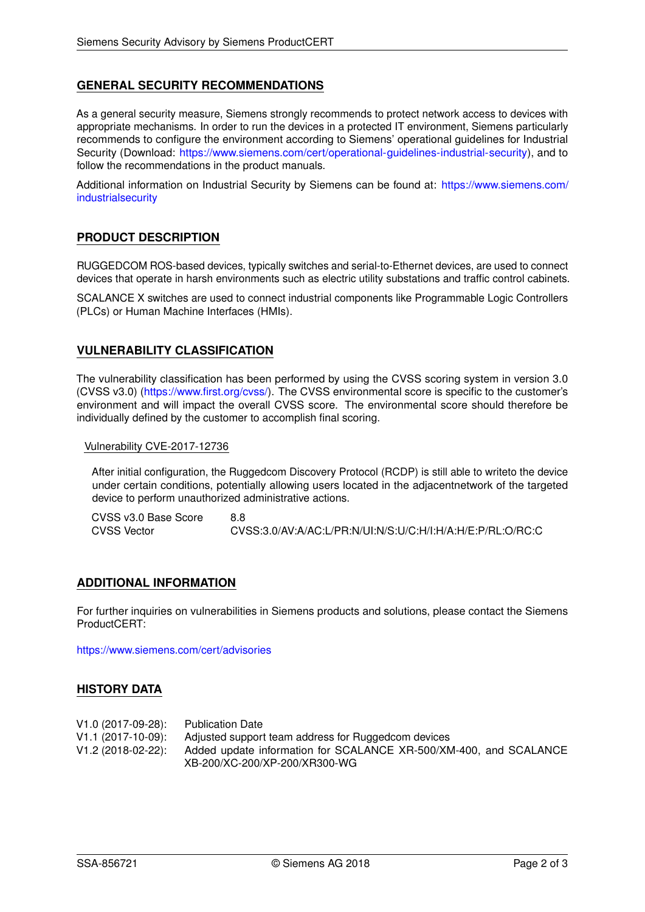## **GENERAL SECURITY RECOMMENDATIONS**

As a general security measure, Siemens strongly recommends to protect network access to devices with appropriate mechanisms. In order to run the devices in a protected IT environment, Siemens particularly recommends to configure the environment according to Siemens' operational guidelines for Industrial Security (Download: [https://www.siemens.com/cert/operational-guidelines-industrial-security\)](https://www.siemens.com/cert/operational-guidelines-industrial-security), and to follow the recommendations in the product manuals.

Additional information on Industrial Security by Siemens can be found at: [https://www.siemens.com/](https://www.siemens.com/industrialsecurity) [industrialsecurity](https://www.siemens.com/industrialsecurity)

### **PRODUCT DESCRIPTION**

RUGGEDCOM ROS-based devices, typically switches and serial-to-Ethernet devices, are used to connect devices that operate in harsh environments such as electric utility substations and traffic control cabinets.

SCALANCE X switches are used to connect industrial components like Programmable Logic Controllers (PLCs) or Human Machine Interfaces (HMIs).

#### **VULNERABILITY CLASSIFICATION**

The vulnerability classification has been performed by using the CVSS scoring system in version 3.0 (CVSS v3.0) [\(https://www.first.org/cvss/\)](https://www.first.org/cvss/). The CVSS environmental score is specific to the customer's environment and will impact the overall CVSS score. The environmental score should therefore be individually defined by the customer to accomplish final scoring.

Vulnerability CVE-2017-12736

After initial configuration, the Ruggedcom Discovery Protocol (RCDP) is still able to writeto the device under certain conditions, potentially allowing users located in the adjacentnetwork of the targeted device to perform unauthorized administrative actions.

CVSS v3.0 Base Score 8.8<br>CVSS Vector 6.9 CVSS Vector CVSS:3.0/AV:A/AC:L/PR:N/UI:N/S:U/C:H/I:H/A:H/E:P/RL:O/RC:C

#### **ADDITIONAL INFORMATION**

For further inquiries on vulnerabilities in Siemens products and solutions, please contact the Siemens ProductCERT:

<https://www.siemens.com/cert/advisories>

#### **HISTORY DATA**

| V1.0 (2017-09-28): Publication Date |                                                                   |
|-------------------------------------|-------------------------------------------------------------------|
| $V1.1(2017-10-09)$ :                | Adjusted support team address for Ruggedcom devices               |
| V1.2 (2018-02-22):                  | Added update information for SCALANCE XR-500/XM-400, and SCALANCE |
|                                     | XB-200/XC-200/XP-200/XR300-WG                                     |